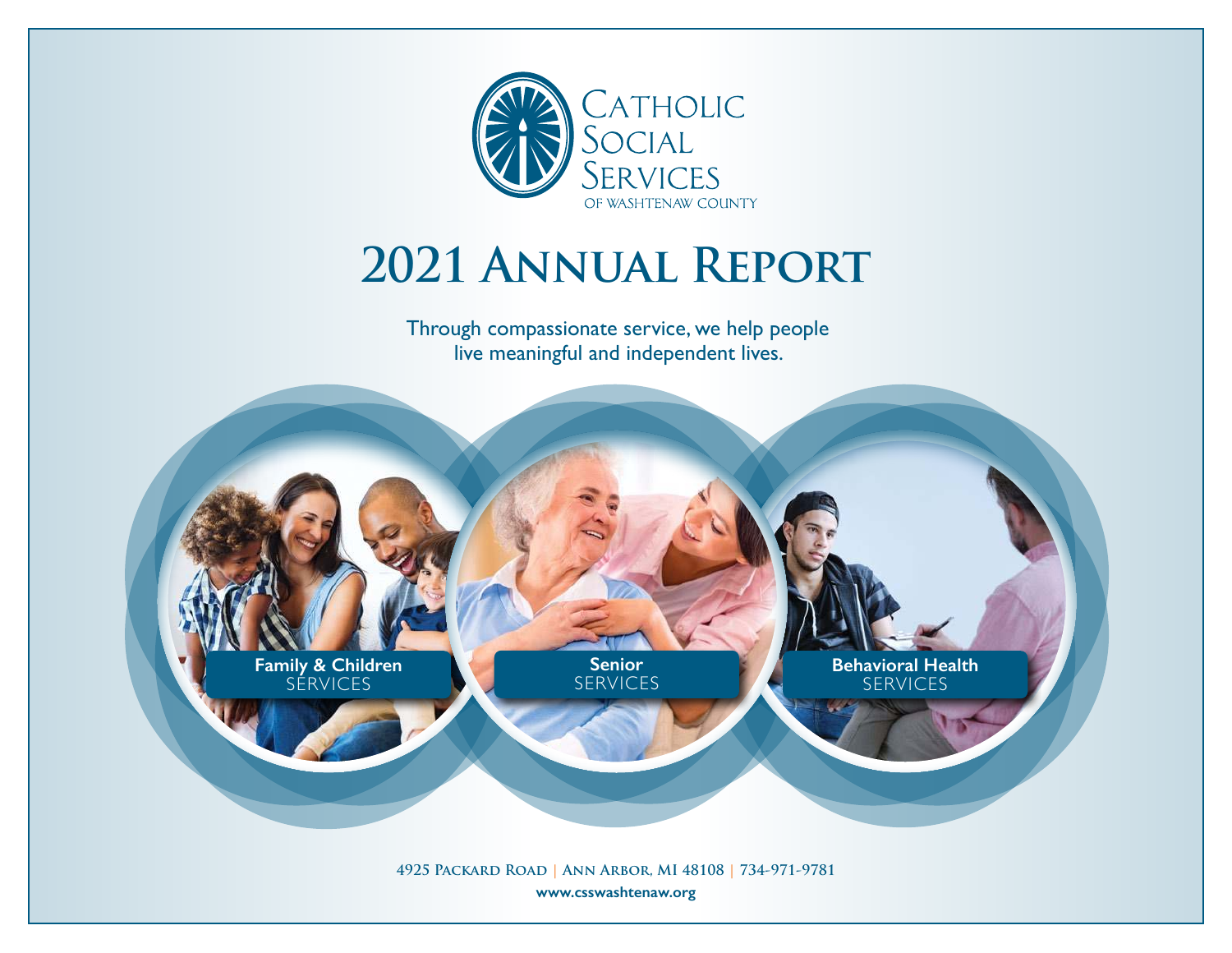

# **2021 Annual Report**

Through compassionate service, we help people live meaningful and independent lives.

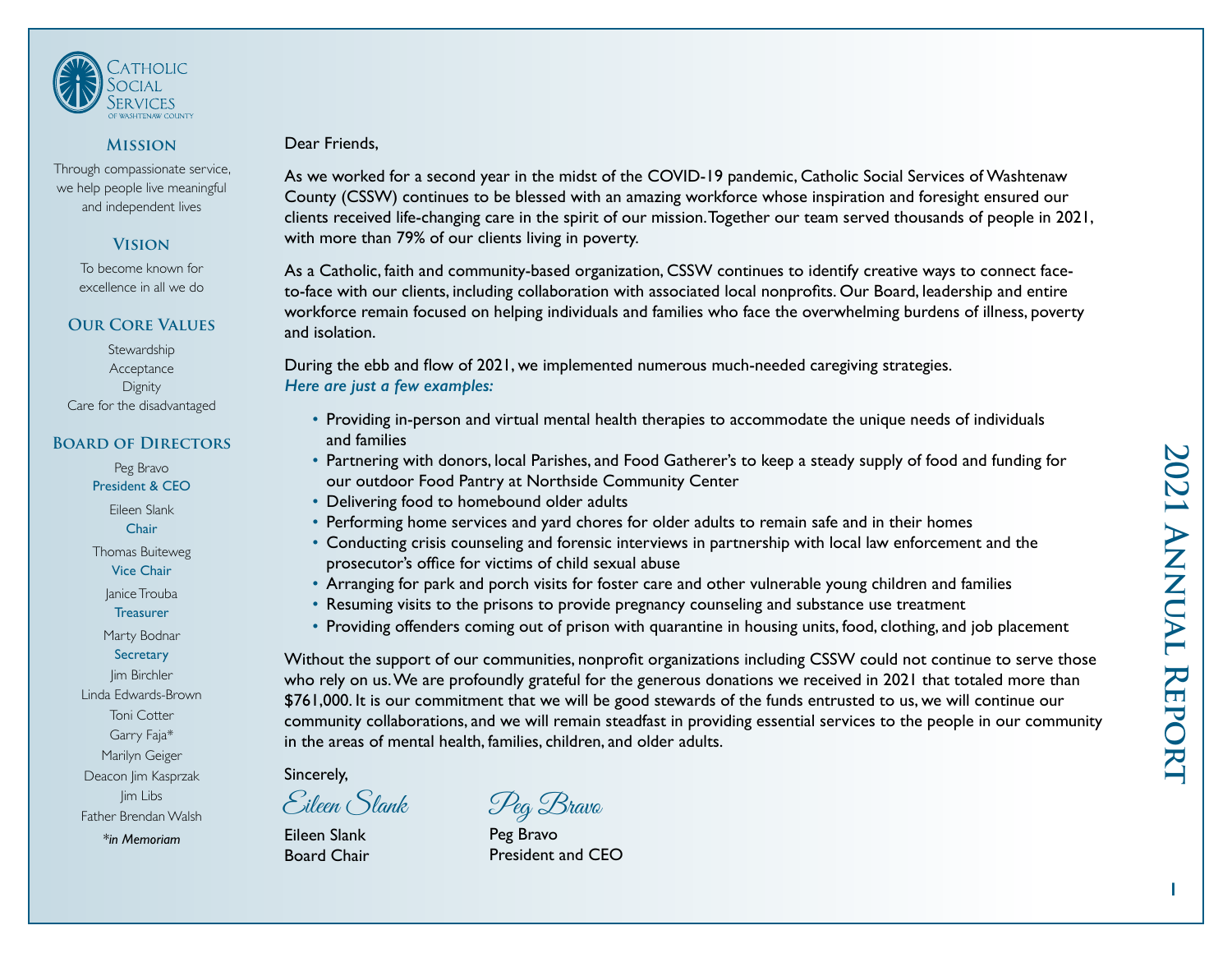

### **Mission**

Through compassionate service, we help people live meaningful and independent lives

### **Vision**

To become known for excellence in all we do

### **Our Core Values**

**Stewardship** Acceptance **Dignity** Care for the disadvantaged

### **Board of Directors** Peg Bravo

President & CEO

Eileen Slank **Chair** Thomas Buiteweg Vice Chair Janice Trouba **Treasurer** Marty Bodnar **Secretary Jim Birchler** Linda Edwards-Brown Toni Cotter Garry Faja\* Marilyn Geiger Deacon Jim Kasprzak Jim Libs Father Brendan Walsh

### Dear Friends,

As we worked for a second year in the midst of the COVID-19 pandemic, Catholic Social Services of Washtenaw County (CSSW) continues to be blessed with an amazing workforce whose inspiration and foresight ensured our clients received life-changing care in the spirit of our mission. Together our team served thousands of people in 2021, with more than 79% of our clients living in poverty.

As a Catholic, faith and community-based organization, CSSW continues to identify creative ways to connect faceto-face with our clients, including collaboration with associated local nonprofits. Our Board, leadership and entire workforce remain focused on helping individuals and families who face the overwhelming burdens of illness, poverty and isolation.

During the ebb and flow of 2021, we implemented numerous much-needed caregiving strategies. *Here are just a few examples:* 

- Providing in-person and virtual mental health therapies to accommodate the unique needs of individuals and families
- Partnering with donors, local Parishes, and Food Gatherer's to keep a steady supply of food and funding for our outdoor Food Pantry at Northside Community Center
- Delivering food to homebound older adults
- Performing home services and yard chores for older adults to remain safe and in their homes
- Conducting crisis counseling and forensic interviews in partnership with local law enforcement and the prosecutor's office for victims of child sexual abuse
- Arranging for park and porch visits for foster care and other vulnerable young children and families
- Resuming visits to the prisons to provide pregnancy counseling and substance use treatment
- Providing offenders coming out of prison with quarantine in housing units, food, clothing, and job placement

Without the support of our communities, nonprofit organizations including CSSW could not continue to serve those who rely on us. We are profoundly grateful for the generous donations we received in 2021 that totaled more than \$761,000. It is our commitment that we will be good stewards of the funds entrusted to us, we will continue our community collaborations, and we will remain steadfast in providing essential services to the people in our community in the areas of mental health, families, children, and older adults.

### Sincerely,

Eileen Slank Board Chair *\*in Memoriam* **Peg Bravo** 

Eileen Slank Peg Bravo

President and CEO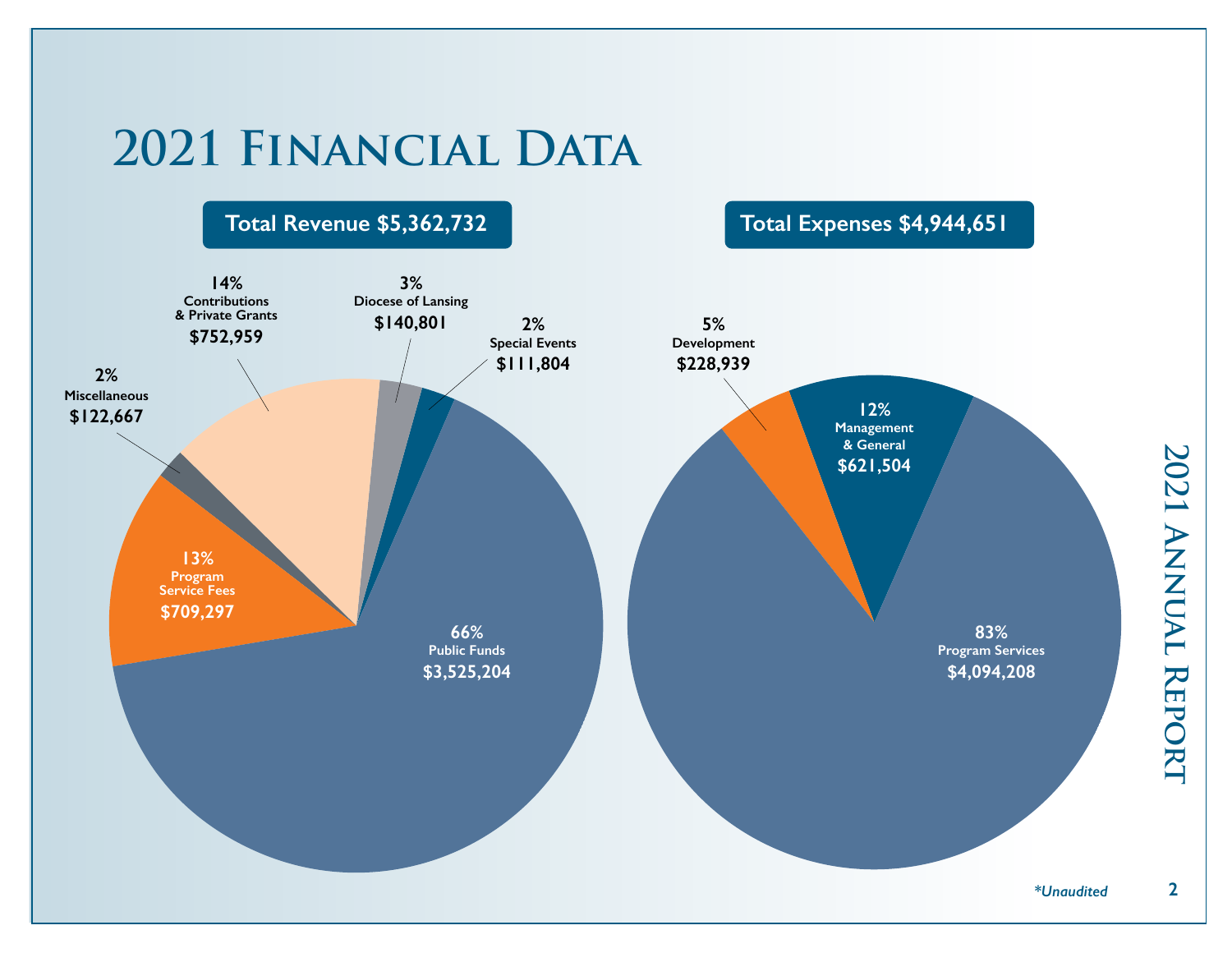# **2021 Financial Data**



**22021 Annual Report**  $\overline{2}$ 

2021 ANNUAL REPORT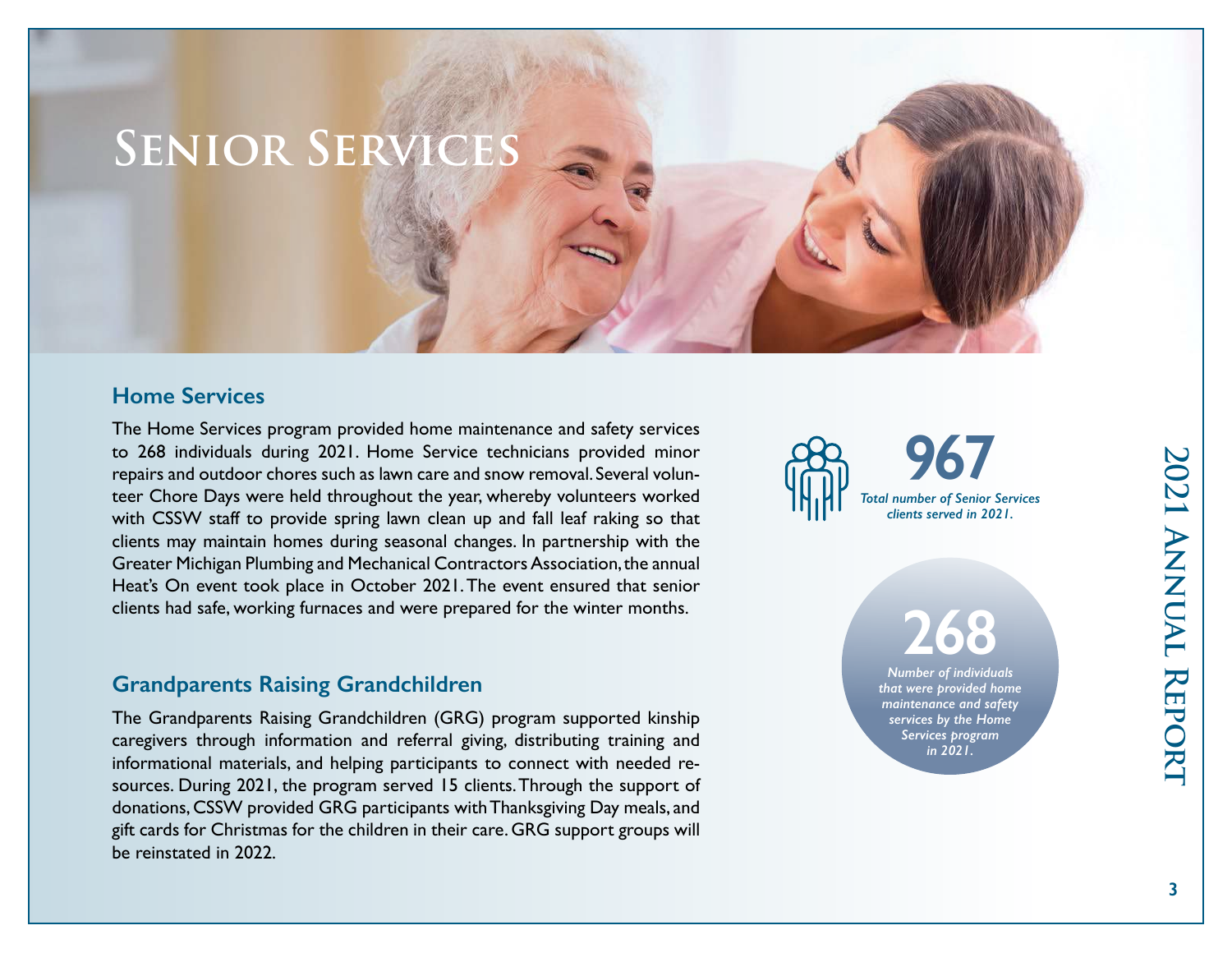# **Senior Services**

### **Home Services**

The Home Services program provided home maintenance and safety services to 268 individuals during 2021. Home Service technicians provided minor repairs and outdoor chores such as lawn care and snow removal. Several volunteer Chore Days were held throughout the year, whereby volunteers worked with CSSW staff to provide spring lawn clean up and fall leaf raking so that clients may maintain homes during seasonal changes. In partnership with the Greater Michigan Plumbing and Mechanical Contractors Association, the annual Heat's On event took place in October 2021. The event ensured that senior clients had safe, working furnaces and were prepared for the winter months.

### **Grandparents Raising Grandchildren**

The Grandparents Raising Grandchildren (GRG) program supported kinship caregivers through information and referral giving, distributing training and informational materials, and helping participants to connect with needed resources. During 2021, the program served 15 clients. Through the support of donations, CSSW provided GRG participants with Thanksgiving Day meals, and gift cards for Christmas for the children in their care. GRG support groups will be reinstated in 2022.



**268** *Number of individuals* 

*that were provided home maintenance and safety services by the Home Services program in 2021.*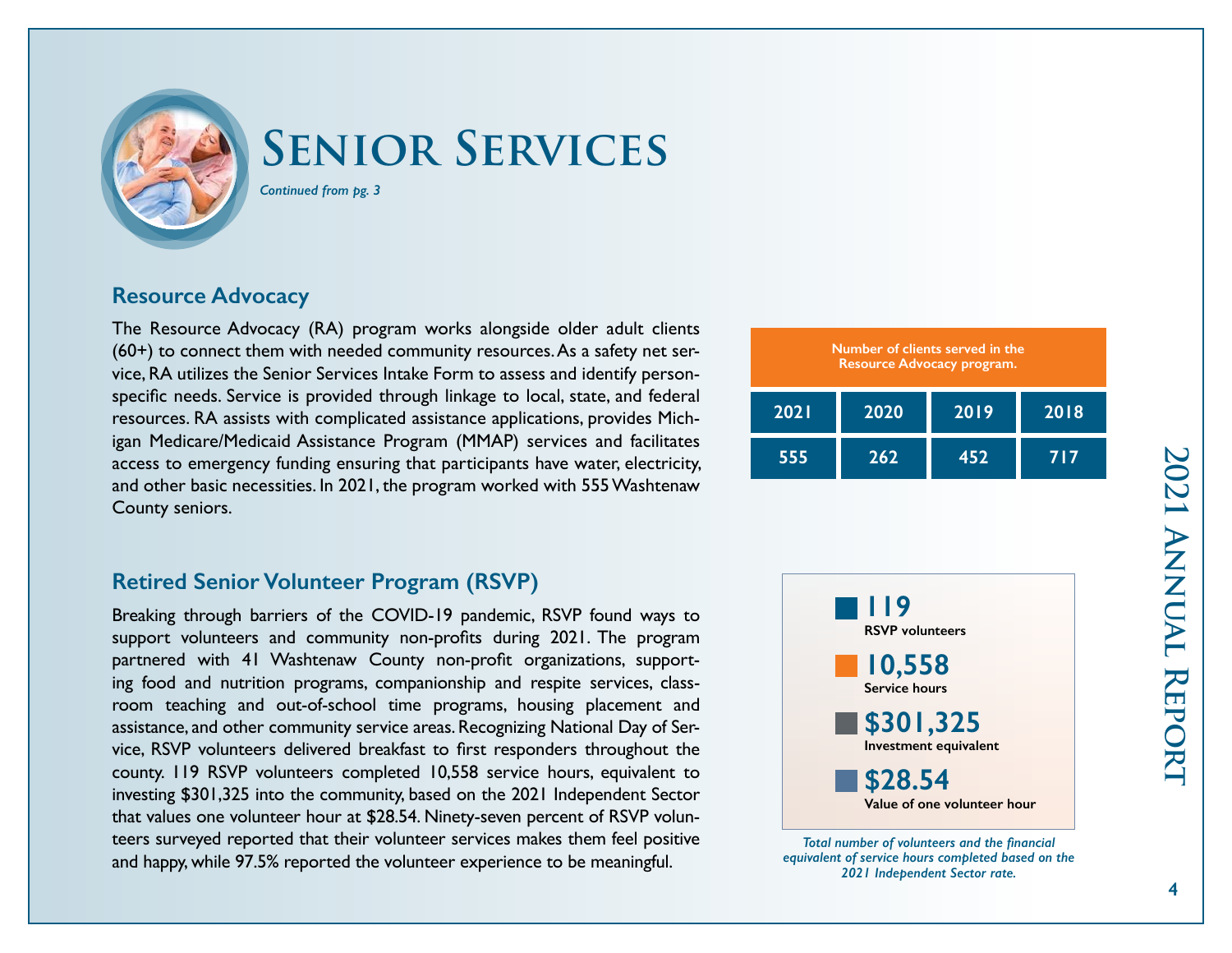

# **Senior Services**

*Continued from pg. 3*

# **Resource Advocacy**

The Resource Advocacy (RA) program works alongside older adult clients (60+) to connect them with needed community resources. As a safety net service, RA utilizes the Senior Services Intake Form to assess and identify personspecific needs. Service is provided through linkage to local, state, and federal resources. RA assists with complicated assistance applications, provides Michigan Medicare/Medicaid Assistance Program (MMAP) services and facilitates access to emergency funding ensuring that participants have water, electricity, and other basic necessities. In 2021, the program worked with 555 Washtenaw County seniors.

| Number of clients served in the<br>Resource Advocacy program. |      |      |      |  |
|---------------------------------------------------------------|------|------|------|--|
| <b>2021</b>                                                   | 2020 | 2019 | 2018 |  |
| 555                                                           | 262  | 452  | 717  |  |

# **Retired Senior Volunteer Program (RSVP)**

Breaking through barriers of the COVID-19 pandemic, RSVP found ways to support volunteers and community non-profits during 2021. The program partnered with 41 Washtenaw County non-profit organizations, supporting food and nutrition programs, companionship and respite services, classroom teaching and out-of-school time programs, housing placement and assistance, and other community service areas. Recognizing National Day of Service, RSVP volunteers delivered breakfast to first responders throughout the county. 119 RSVP volunteers completed 10,558 service hours, equivalent to investing \$301,325 into the community, based on the 2021 Independent Sector that values one volunteer hour at \$28.54. Ninety-seven percent of RSVP volunteers surveyed reported that their volunteer services makes them feel positive and happy, while 97.5% reported the volunteer experience to be meaningful.



*Total number of volunteers and the financial equivalent of service hours completed based on the 2021 Independent Sector rate.*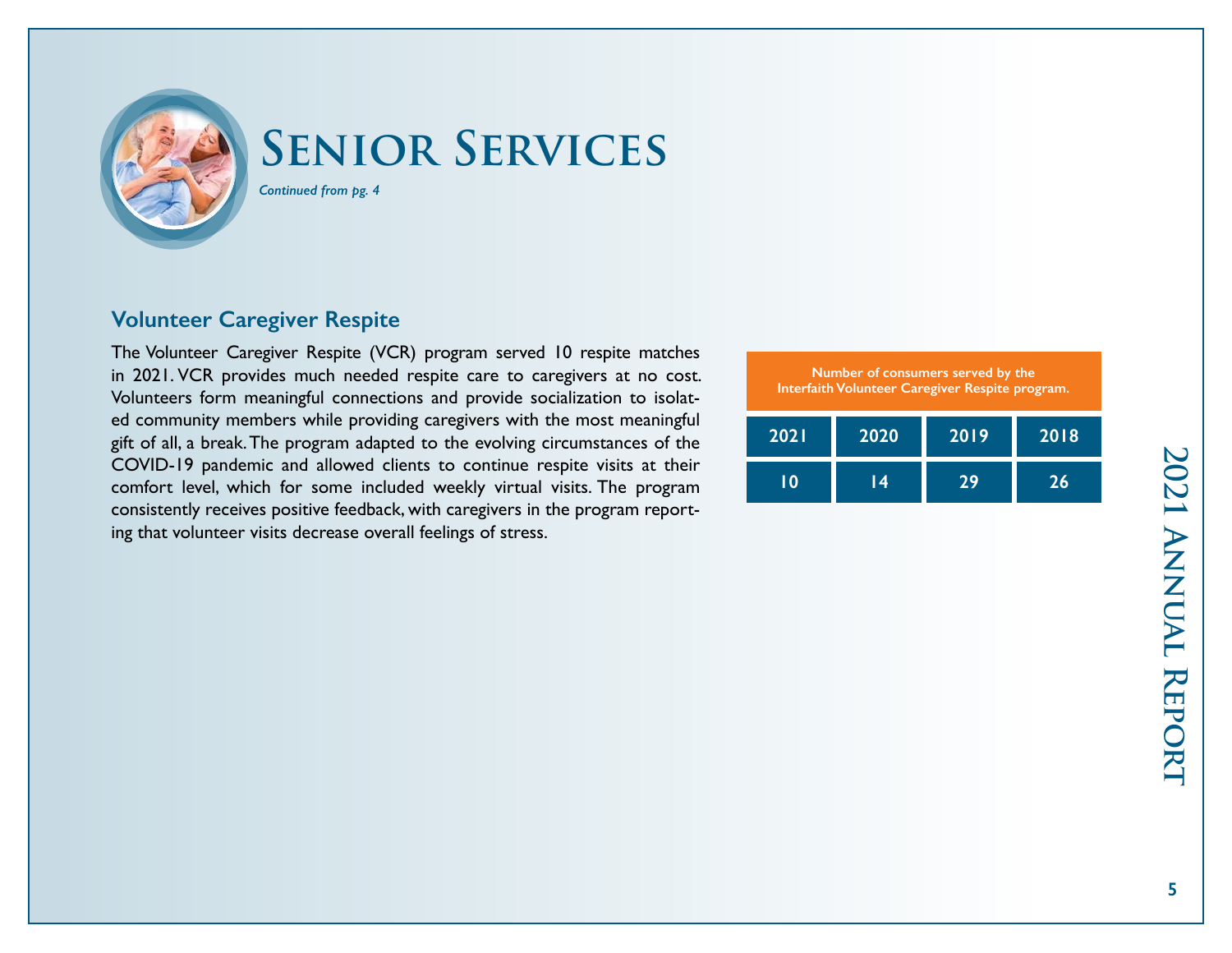

# **Senior Services**

*Continued from pg. 4*

# **Volunteer Caregiver Respite**

The Volunteer Caregiver Respite (VCR) program served 10 respite matches in 2021. VCR provides much needed respite care to caregivers at no cost. Volunteers form meaningful connections and provide socialization to isolated community members while providing caregivers with the most meaningful gift of all, a break. The program adapted to the evolving circumstances of the COVID-19 pandemic and allowed clients to continue respite visits at their comfort level, which for some included weekly virtual visits. The program consistently receives positive feedback, with caregivers in the program reporting that volunteer visits decrease overall feelings of stress.

| Number of consumers served by the<br>Interfaith Volunteer Caregiver Respite program. |      |      |      |  |
|--------------------------------------------------------------------------------------|------|------|------|--|
| 2021                                                                                 | 2020 | 2019 | 2018 |  |
| ח ו                                                                                  | 14   | 29   | 26   |  |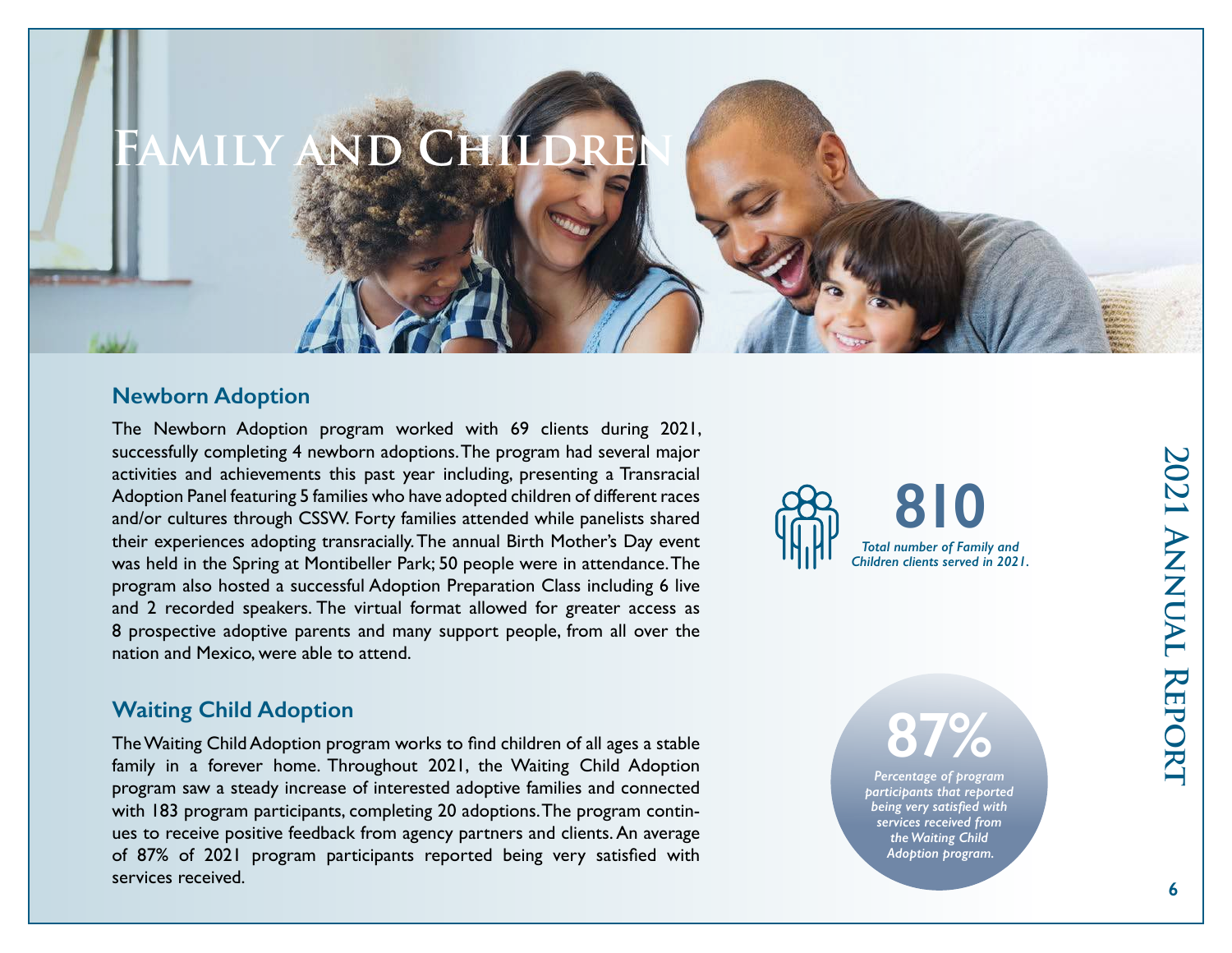# **Newborn Adoption**

The Newborn Adoption program worked with 69 clients during 2021, successfully completing 4 newborn adoptions. The program had several major activities and achievements this past year including, presenting a Transracial Adoption Panel featuring 5 families who have adopted children of different races and/or cultures through CSSW. Forty families attended while panelists shared their experiences adopting transracially. The annual Birth Mother's Day event was held in the Spring at Montibeller Park; 50 people were in attendance. The program also hosted a successful Adoption Preparation Class including 6 live and 2 recorded speakers. The virtual format allowed for greater access as 8 prospective adoptive parents and many support people, from all over the nation and Mexico, were able to attend.

# **810** *Total number of Family and Children clients served in 2021.*

**87%**

*Percentage of program participants that reported being very satisfied with services received from the Waiting Child Adoption program.*

# **Waiting Child Adoption**

The Waiting Child Adoption program works to find children of all ages a stable family in a forever home. Throughout 2021, the Waiting Child Adoption program saw a steady increase of interested adoptive families and connected with 183 program participants, completing 20 adoptions. The program continues to receive positive feedback from agency partners and clients. An average of 87% of 2021 program participants reported being very satisfied with services received.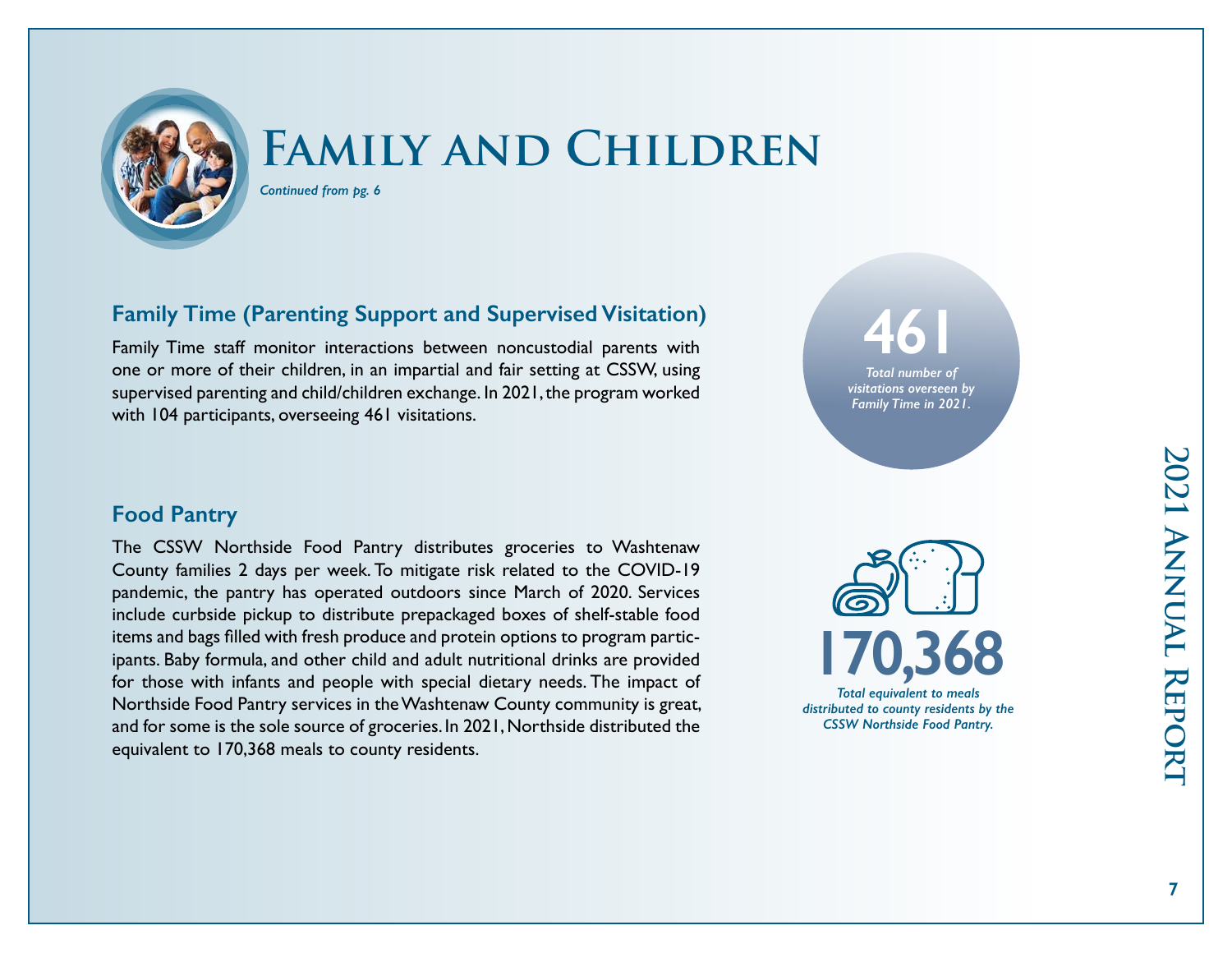

*Continued from pg. 6*

# **Family Time (Parenting Support and Supervised Visitation)**

Family Time staff monitor interactions between noncustodial parents with one or more of their children, in an impartial and fair setting at CSSW, using supervised parenting and child/children exchange. In 2021, the program worked with 104 participants, overseeing 461 visitations.



# **Food Pantry**

The CSSW Northside Food Pantry distributes groceries to Washtenaw County families 2 days per week. To mitigate risk related to the COVID-19 pandemic, the pantry has operated outdoors since March of 2020. Services include curbside pickup to distribute prepackaged boxes of shelf-stable food items and bags filled with fresh produce and protein options to program participants. Baby formula, and other child and adult nutritional drinks are provided for those with infants and people with special dietary needs. The impact of Northside Food Pantry services in the Washtenaw County community is great, and for some is the sole source of groceries. In 2021, Northside distributed the equivalent to 170,368 meals to county residents.

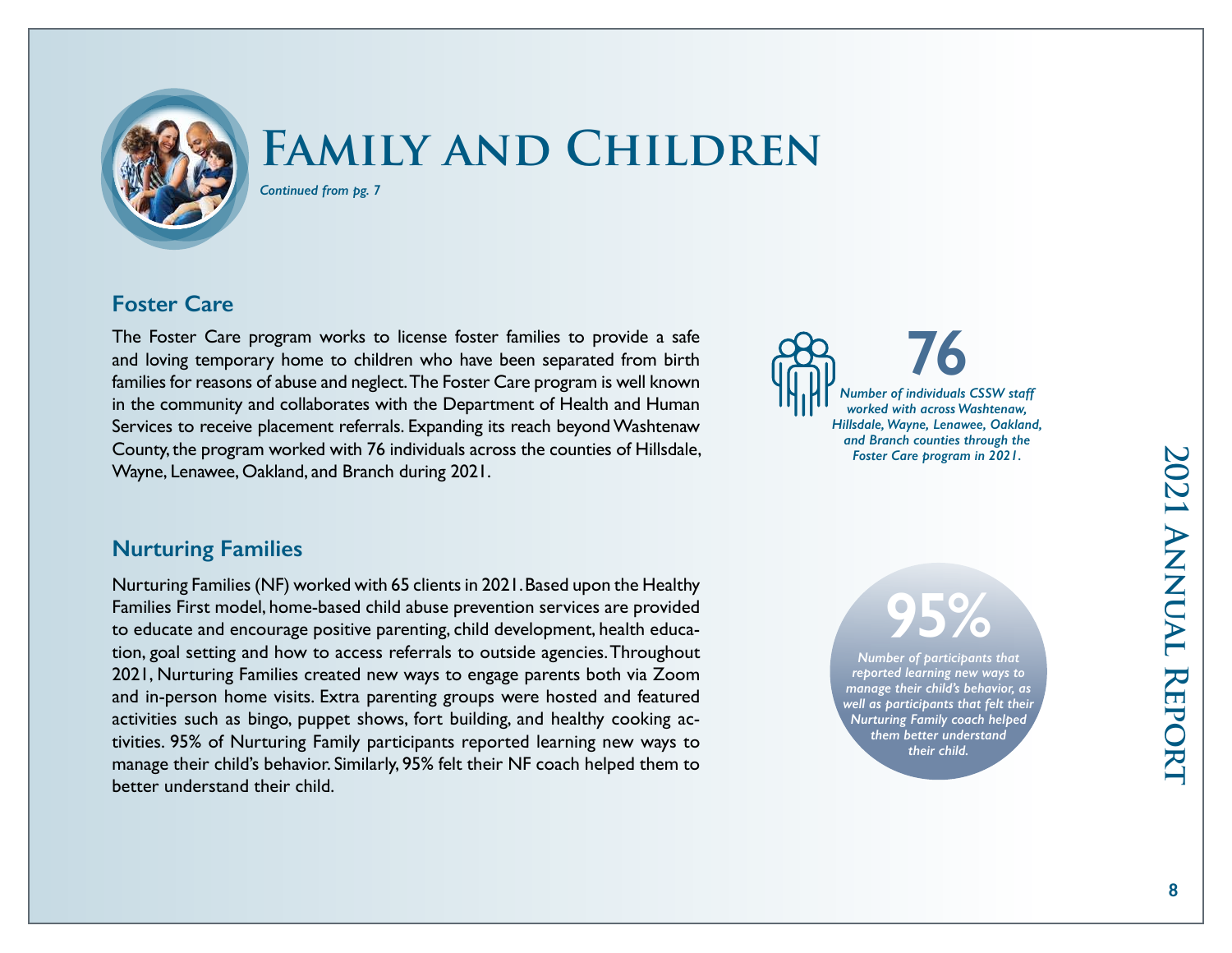

*Continued from pg. 7*

# **Foster Care**

The Foster Care program works to license foster families to provide a safe and loving temporary home to children who have been separated from birth families for reasons of abuse and neglect. The Foster Care program is well known in the community and collaborates with the Department of Health and Human Services to receive placement referrals. Expanding its reach beyond Washtenaw County, the program worked with 76 individuals across the counties of Hillsdale, Wayne, Lenawee, Oakland, and Branch during 2021.

### **Nurturing Families**

Nurturing Families (NF) worked with 65 clients in 2021. Based upon the Healthy Families First model, home-based child abuse prevention services are provided to educate and encourage positive parenting, child development, health education, goal setting and how to access referrals to outside agencies. Throughout 2021, Nurturing Families created new ways to engage parents both via Zoom and in-person home visits. Extra parenting groups were hosted and featured activities such as bingo, puppet shows, fort building, and healthy cooking activities. 95% of Nurturing Family participants reported learning new ways to manage their child's behavior. Similarly, 95% felt their NF coach helped them to better understand their child.

**76** *Number of individuals CSSW staff worked with across Washtenaw, Hillsdale, Wayne, Lenawee, Oakland, and Branch counties through the Foster Care program in 2021.* 

# **95%**

*Number of participants that reported learning new ways to manage their child's behavior, as well as participants that felt their Nurturing Family coach helped them better understand their child.*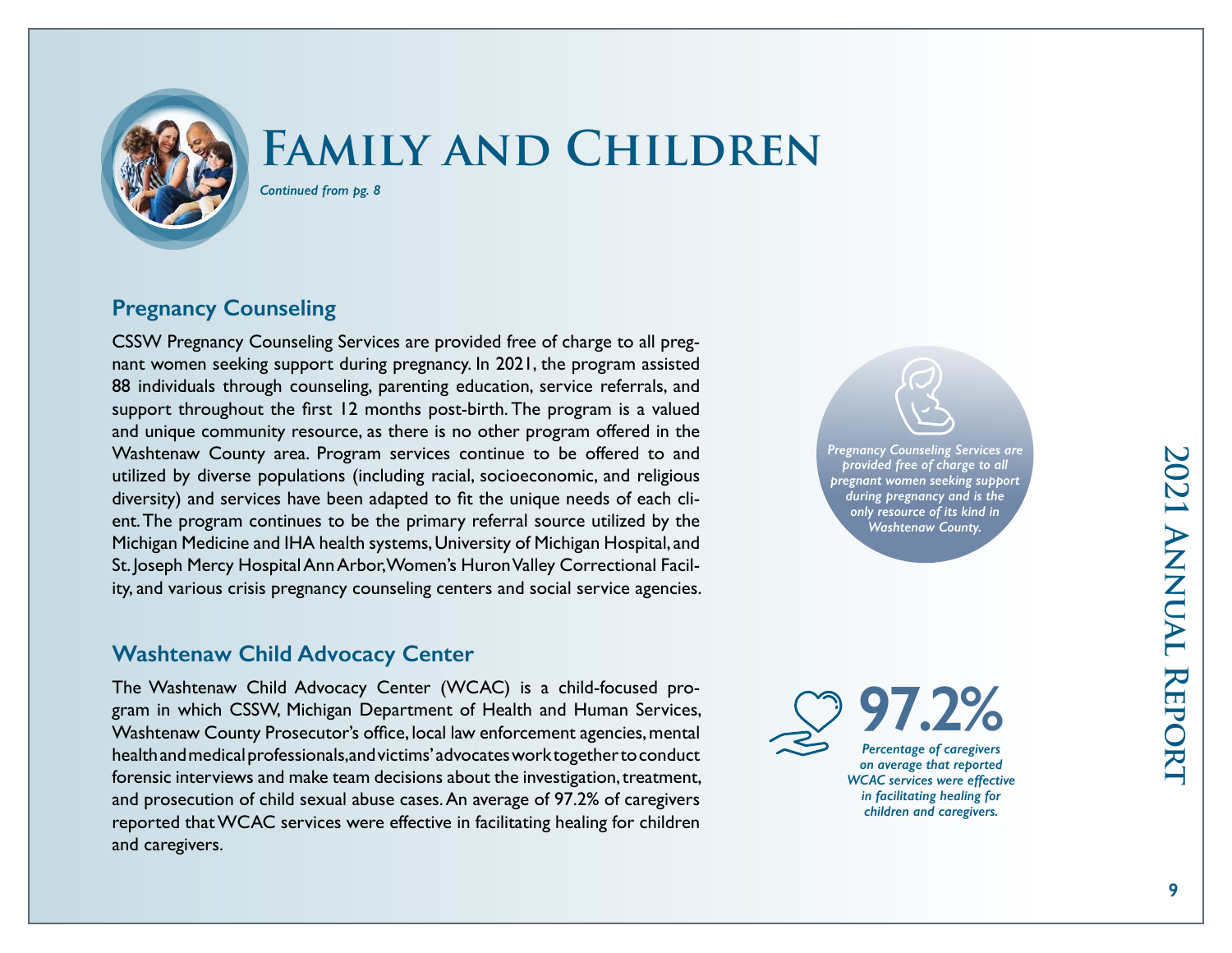

*Continued from pg. 8*

# **Pregnancy Counseling**

CSSW Pregnancy Counseling Services are provided free of charge to all pregnant women seeking support during pregnancy. In 2021, the program assisted 88 individuals through counseling, parenting education, service referrals, and support throughout the first 12 months post-birth. The program is a valued and unique community resource, as there is no other program offered in the Washtenaw County area. Program services continue to be offered to and utilized by diverse populations (including racial, socioeconomic, and religious diversity) and services have been adapted to fit the unique needs of each client. The program continues to be the primary referral source utilized by the Michigan Medicine and IHA health systems, University of Michigan Hospital, and St. Joseph Mercy Hospital Ann Arbor, Women's Huron Valley Correctional Facility, and various crisis pregnancy counseling centers and social service agencies.

# **Washtenaw Child Advocacy Center**

The Washtenaw Child Advocacy Center (WCAC) is a child-focused program in which CSSW, Michigan Department of Health and Human Services, Washtenaw County Prosecutor's office, local law enforcement agencies, mental health and medical professionals, and victims' advocates work together to conduct forensic interviews and make team decisions about the investigation, treatment, and prosecution of child sexual abuse cases. An average of 97.2% of caregivers reported that WCAC services were effective in facilitating healing for children and caregivers.

*Pregnancy Counseling Services are provided free of charge to all pregnant women seeking support during pregnancy and is the only resource of its kind in Washtenaw County.*

**97.2%** *Percentage of caregivers on average that reported WCAC services were effective in facilitating healing for children and caregivers.*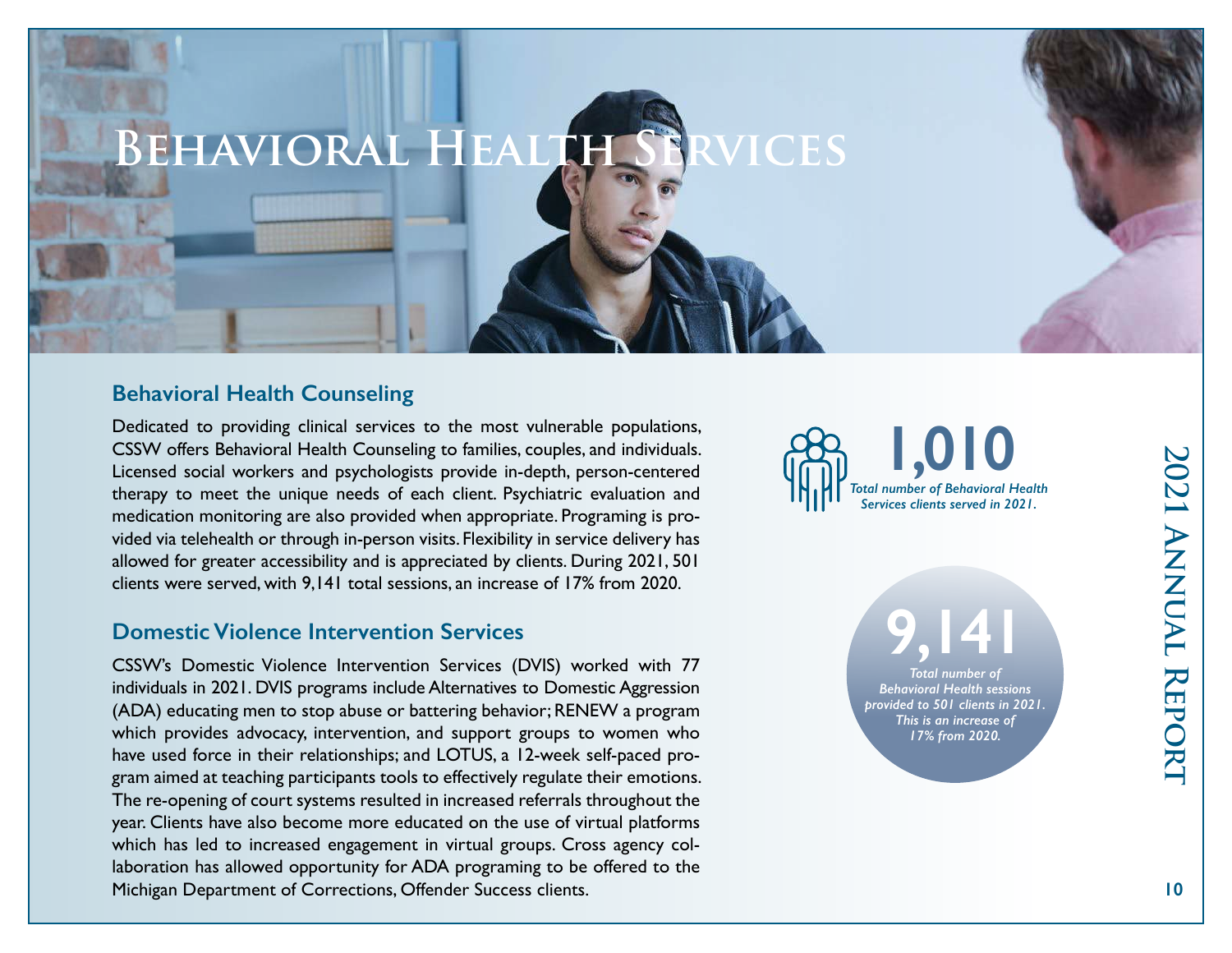# **Behavioral Health Services**

# **Behavioral Health Counseling**

Dedicated to providing clinical services to the most vulnerable populations, CSSW offers Behavioral Health Counseling to families, couples, and individuals. Licensed social workers and psychologists provide in-depth, person-centered therapy to meet the unique needs of each client. Psychiatric evaluation and medication monitoring are also provided when appropriate. Programing is provided via telehealth or through in-person visits. Flexibility in service delivery has allowed for greater accessibility and is appreciated by clients. During 2021, 501 clients were served, with 9,141 total sessions, an increase of 17% from 2020.

### **Domestic Violence Intervention Services**

CSSW's Domestic Violence Intervention Services (DVIS) worked with 77 individuals in 2021. DVIS programs include Alternatives to Domestic Aggression (ADA) educating men to stop abuse or battering behavior; RENEW a program which provides advocacy, intervention, and support groups to women who have used force in their relationships; and LOTUS, a 12-week self-paced program aimed at teaching participants tools to effectively regulate their emotions. The re-opening of court systems resulted in increased referrals throughout the year. Clients have also become more educated on the use of virtual platforms which has led to increased engagement in virtual groups. Cross agency collaboration has allowed opportunity for ADA programing to be offered to the Michigan Department of Corrections, Offender Success clients.



**9,141** *Total number of Behavioral Health sessions provided to 501 clients in 2021. This is an increase of 17% from 2020.*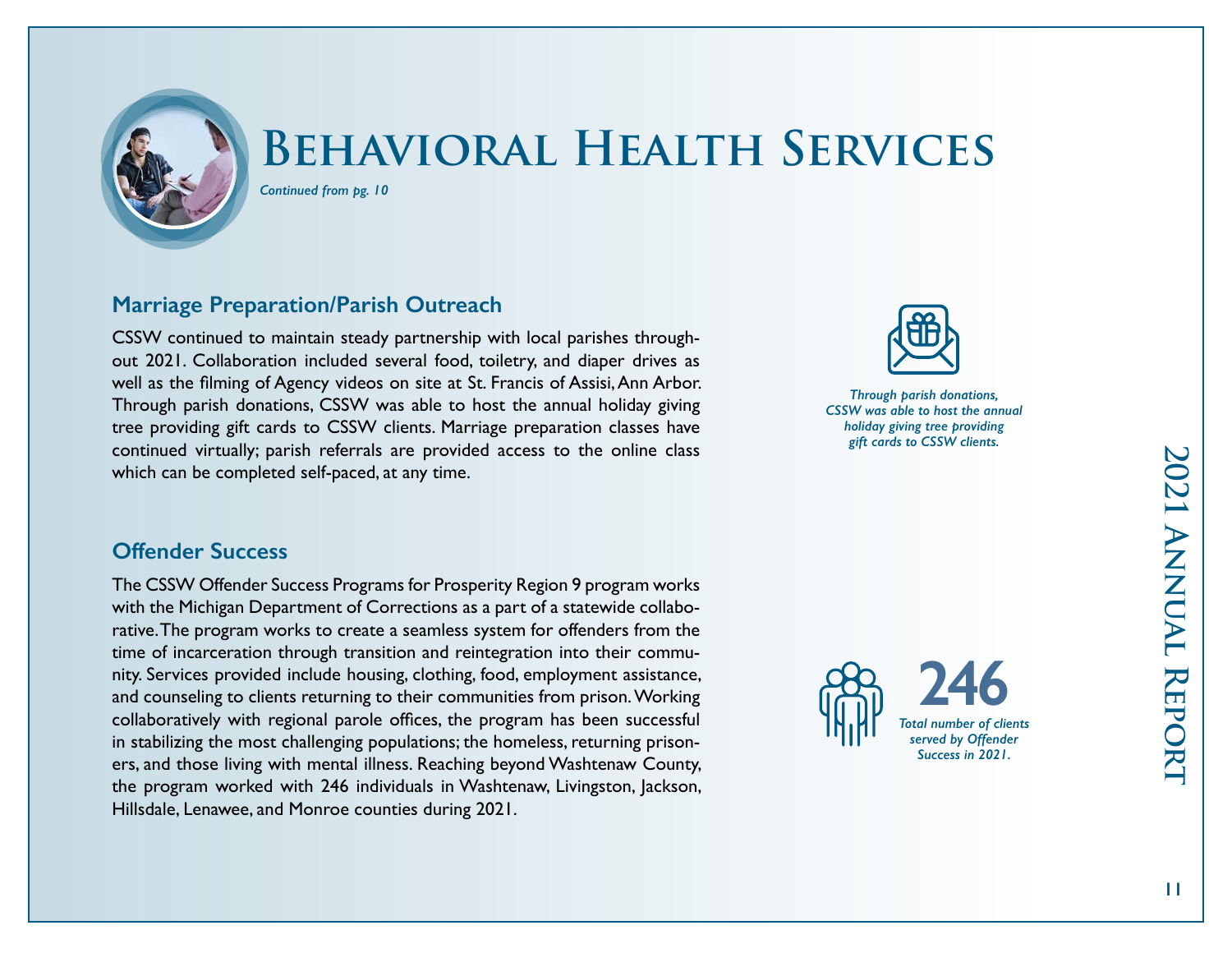

# **Behavioral Health Services**

*Continued from pg. 10*

# **Marriage Preparation/Parish Outreach**

CSSW continued to maintain steady partnership with local parishes throughout 2021. Collaboration included several food, toiletry, and diaper drives as well as the filming of Agency videos on site at St. Francis of Assisi, Ann Arbor. Through parish donations, CSSW was able to host the annual holiday giving tree providing gift cards to CSSW clients. Marriage preparation classes have continued virtually; parish referrals are provided access to the online class which can be completed self-paced, at any time.



*Through parish donations, CSSW was able to host the annual holiday giving tree providing gift cards to CSSW clients.*

### **Offender Success**

The CSSW Offender Success Programs for Prosperity Region 9 program works with the Michigan Department of Corrections as a part of a statewide collaborative. The program works to create a seamless system for offenders from the time of incarceration through transition and reintegration into their community. Services provided include housing, clothing, food, employment assistance, and counseling to clients returning to their communities from prison. Working collaboratively with regional parole offices, the program has been successful in stabilizing the most challenging populations; the homeless, returning prisoners, and those living with mental illness. Reaching beyond Washtenaw County, the program worked with 246 individuals in Washtenaw, Livingston, Jackson, Hillsdale, Lenawee, and Monroe counties during 2021.



2021 ANNUAL REPORT **2021 Annual Report**